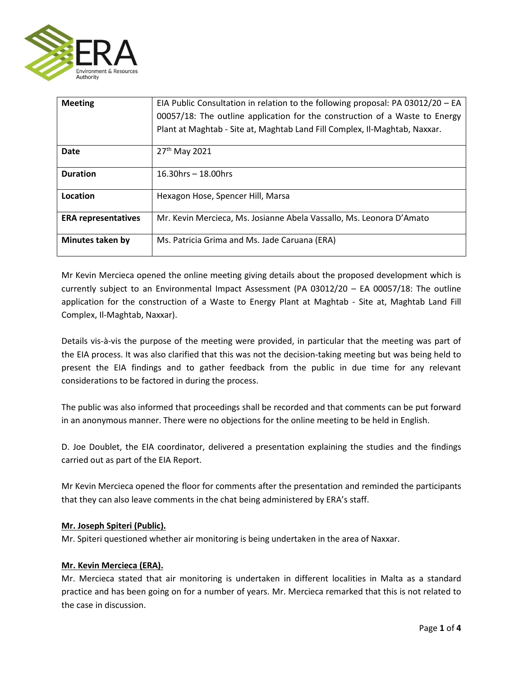

| <b>Meeting</b>             | EIA Public Consultation in relation to the following proposal: PA 03012/20 - EA<br>00057/18: The outline application for the construction of a Waste to Energy |
|----------------------------|----------------------------------------------------------------------------------------------------------------------------------------------------------------|
|                            | Plant at Maghtab - Site at, Maghtab Land Fill Complex, Il-Maghtab, Naxxar.                                                                                     |
| <b>Date</b>                | 27 <sup>th</sup> May 2021                                                                                                                                      |
| <b>Duration</b>            | $16.30$ hrs - 18.00hrs                                                                                                                                         |
| Location                   | Hexagon Hose, Spencer Hill, Marsa                                                                                                                              |
| <b>ERA representatives</b> | Mr. Kevin Mercieca, Ms. Josianne Abela Vassallo, Ms. Leonora D'Amato                                                                                           |
| <b>Minutes taken by</b>    | Ms. Patricia Grima and Ms. Jade Caruana (ERA)                                                                                                                  |

Mr Kevin Mercieca opened the online meeting giving details about the proposed development which is currently subject to an Environmental Impact Assessment (PA 03012/20 – EA 00057/18: The outline application for the construction of a Waste to Energy Plant at Maghtab - Site at, Maghtab Land Fill Complex, Il-Maghtab, Naxxar).

Details vis-à-vis the purpose of the meeting were provided, in particular that the meeting was part of the EIA process. It was also clarified that this was not the decision-taking meeting but was being held to present the EIA findings and to gather feedback from the public in due time for any relevant considerations to be factored in during the process.

The public was also informed that proceedings shall be recorded and that comments can be put forward in an anonymous manner. There were no objections for the online meeting to be held in English.

D. Joe Doublet, the EIA coordinator, delivered a presentation explaining the studies and the findings carried out as part of the EIA Report.

Mr Kevin Mercieca opened the floor for comments after the presentation and reminded the participants that they can also leave comments in the chat being administered by ERA's staff.

## **Mr. Joseph Spiteri (Public).**

Mr. Spiteri questioned whether air monitoring is being undertaken in the area of Naxxar.

## **Mr. Kevin Mercieca (ERA).**

Mr. Mercieca stated that air monitoring is undertaken in different localities in Malta as a standard practice and has been going on for a number of years. Mr. Mercieca remarked that this is not related to the case in discussion.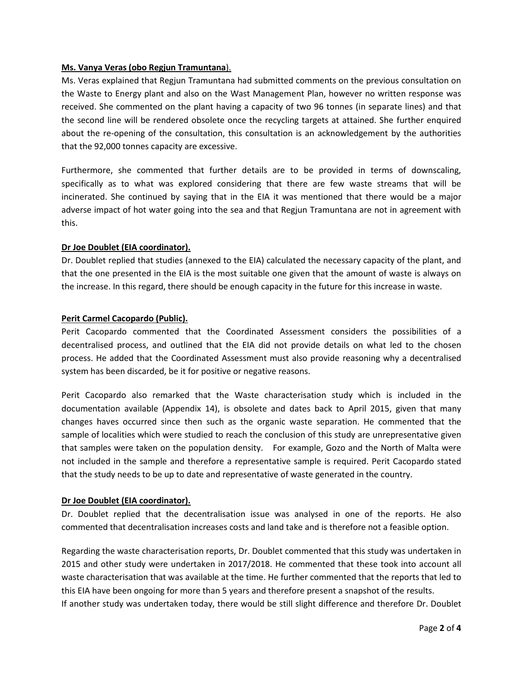### **Ms. Vanya Veras (obo Regjun Tramuntana**).

Ms. Veras explained that Regjun Tramuntana had submitted comments on the previous consultation on the Waste to Energy plant and also on the Wast Management Plan, however no written response was received. She commented on the plant having a capacity of two 96 tonnes (in separate lines) and that the second line will be rendered obsolete once the recycling targets at attained. She further enquired about the re-opening of the consultation, this consultation is an acknowledgement by the authorities that the 92,000 tonnes capacity are excessive.

Furthermore, she commented that further details are to be provided in terms of downscaling, specifically as to what was explored considering that there are few waste streams that will be incinerated. She continued by saying that in the EIA it was mentioned that there would be a major adverse impact of hot water going into the sea and that Regjun Tramuntana are not in agreement with this.

### **Dr Joe Doublet (EIA coordinator).**

Dr. Doublet replied that studies (annexed to the EIA) calculated the necessary capacity of the plant, and that the one presented in the EIA is the most suitable one given that the amount of waste is always on the increase. In this regard, there should be enough capacity in the future for this increase in waste.

### **Perit Carmel Cacopardo (Public).**

Perit Cacopardo commented that the Coordinated Assessment considers the possibilities of a decentralised process, and outlined that the EIA did not provide details on what led to the chosen process. He added that the Coordinated Assessment must also provide reasoning why a decentralised system has been discarded, be it for positive or negative reasons.

Perit Cacopardo also remarked that the Waste characterisation study which is included in the documentation available (Appendix 14), is obsolete and dates back to April 2015, given that many changes haves occurred since then such as the organic waste separation. He commented that the sample of localities which were studied to reach the conclusion of this study are unrepresentative given that samples were taken on the population density. For example, Gozo and the North of Malta were not included in the sample and therefore a representative sample is required. Perit Cacopardo stated that the study needs to be up to date and representative of waste generated in the country.

#### **Dr Joe Doublet (EIA coordinator).**

Dr. Doublet replied that the decentralisation issue was analysed in one of the reports. He also commented that decentralisation increases costs and land take and is therefore not a feasible option.

Regarding the waste characterisation reports, Dr. Doublet commented that this study was undertaken in 2015 and other study were undertaken in 2017/2018. He commented that these took into account all waste characterisation that was available at the time. He further commented that the reports that led to this EIA have been ongoing for more than 5 years and therefore present a snapshot of the results. If another study was undertaken today, there would be still slight difference and therefore Dr. Doublet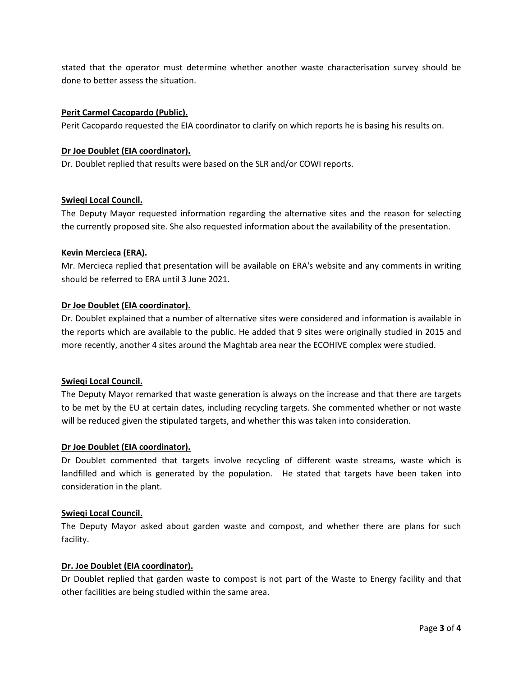stated that the operator must determine whether another waste characterisation survey should be done to better assess the situation.

### **Perit Carmel Cacopardo (Public).**

Perit Cacopardo requested the EIA coordinator to clarify on which reports he is basing his results on.

#### **Dr Joe Doublet (EIA coordinator).**

Dr. Doublet replied that results were based on the SLR and/or COWI reports.

### **Swieqi Local Council.**

The Deputy Mayor requested information regarding the alternative sites and the reason for selecting the currently proposed site. She also requested information about the availability of the presentation.

### **Kevin Mercieca (ERA).**

Mr. Mercieca replied that presentation will be available on ERA's website and any comments in writing should be referred to ERA until 3 June 2021.

### **Dr Joe Doublet (EIA coordinator).**

Dr. Doublet explained that a number of alternative sites were considered and information is available in the reports which are available to the public. He added that 9 sites were originally studied in 2015 and more recently, another 4 sites around the Maghtab area near the ECOHIVE complex were studied.

#### **Swieqi Local Council.**

The Deputy Mayor remarked that waste generation is always on the increase and that there are targets to be met by the EU at certain dates, including recycling targets. She commented whether or not waste will be reduced given the stipulated targets, and whether this was taken into consideration.

### **Dr Joe Doublet (EIA coordinator).**

Dr Doublet commented that targets involve recycling of different waste streams, waste which is landfilled and which is generated by the population. He stated that targets have been taken into consideration in the plant.

#### **Swieqi Local Council.**

The Deputy Mayor asked about garden waste and compost, and whether there are plans for such facility.

#### **Dr. Joe Doublet (EIA coordinator).**

Dr Doublet replied that garden waste to compost is not part of the Waste to Energy facility and that other facilities are being studied within the same area.